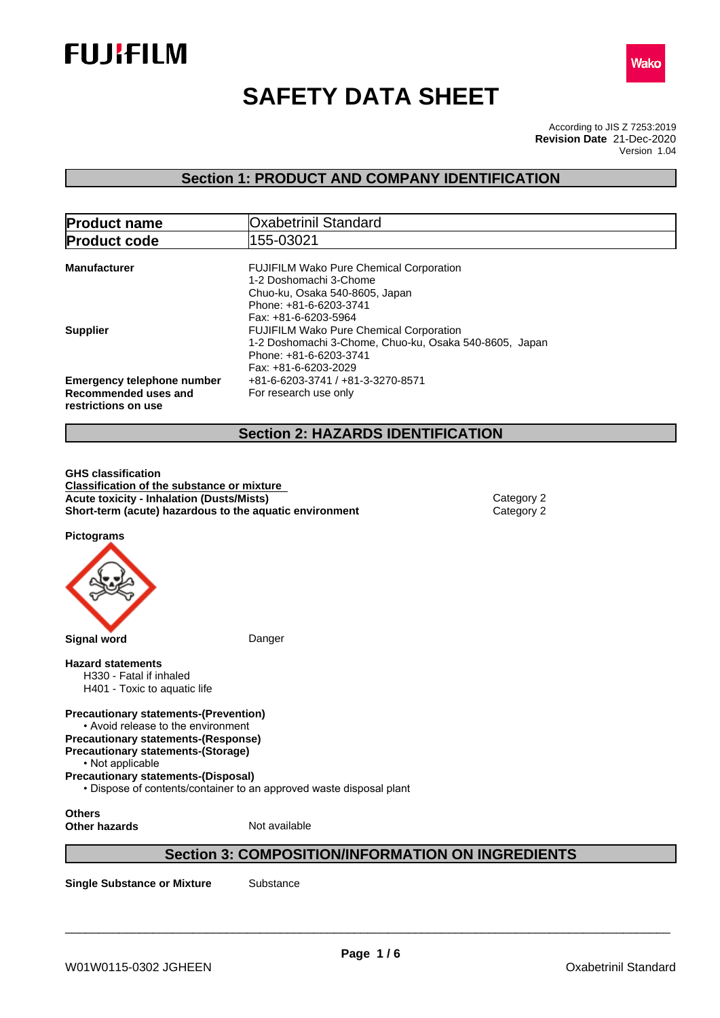



# **SAFETY DATA SHEET**

According to JIS Z 7253:2019 Version 1.04 **Revision Date** 21-Dec-2020

# **Section 1: PRODUCT AND COMPANY IDENTIFICATION**

| <b>Product name</b>                                                              | <b>Oxabetrinil Standard</b>                                                                                                                                                        |
|----------------------------------------------------------------------------------|------------------------------------------------------------------------------------------------------------------------------------------------------------------------------------|
| <b>Product code</b>                                                              | 155-03021                                                                                                                                                                          |
| <b>Manufacturer</b>                                                              | <b>FUJIFILM Wako Pure Chemical Corporation</b><br>1-2 Doshomachi 3-Chome<br>Chuo-ku, Osaka 540-8605, Japan<br>Phone: +81-6-6203-3741                                               |
| <b>Supplier</b>                                                                  | Fax: +81-6-6203-5964<br><b>FUJIFILM Wako Pure Chemical Corporation</b><br>1-2 Doshomachi 3-Chome, Chuo-ku, Osaka 540-8605, Japan<br>Phone: +81-6-6203-3741<br>Fax: +81-6-6203-2029 |
| <b>Emergency telephone number</b><br>Recommended uses and<br>restrictions on use | +81-6-6203-3741 / +81-3-3270-8571<br>For research use only                                                                                                                         |

# **Section 2: HAZARDS IDENTIFICATION**

**GHS classification Classification of the substance or mixture Acute toxicity - Inhalation (Dusts/Mists)** Category 2 **Short-term (acute) hazardous to the aquatic environment** Category 2

**Pictograms**



**Hazard statements** H330 - Fatal if inhaled

H401 - Toxic to aquatic life

**Precautionary statements-(Prevention)**

• Avoid release to the environment **Precautionary statements-(Response)**

**Precautionary statements-(Storage)**

• Not applicable

**Precautionary statements-(Disposal)**

• Dispose of contents/container to an approved waste disposal plant

**Others Other hazards** Not available

# **Section 3: COMPOSITION/INFORMATION ON INGREDIENTS**

**Single Substance or Mixture** Substance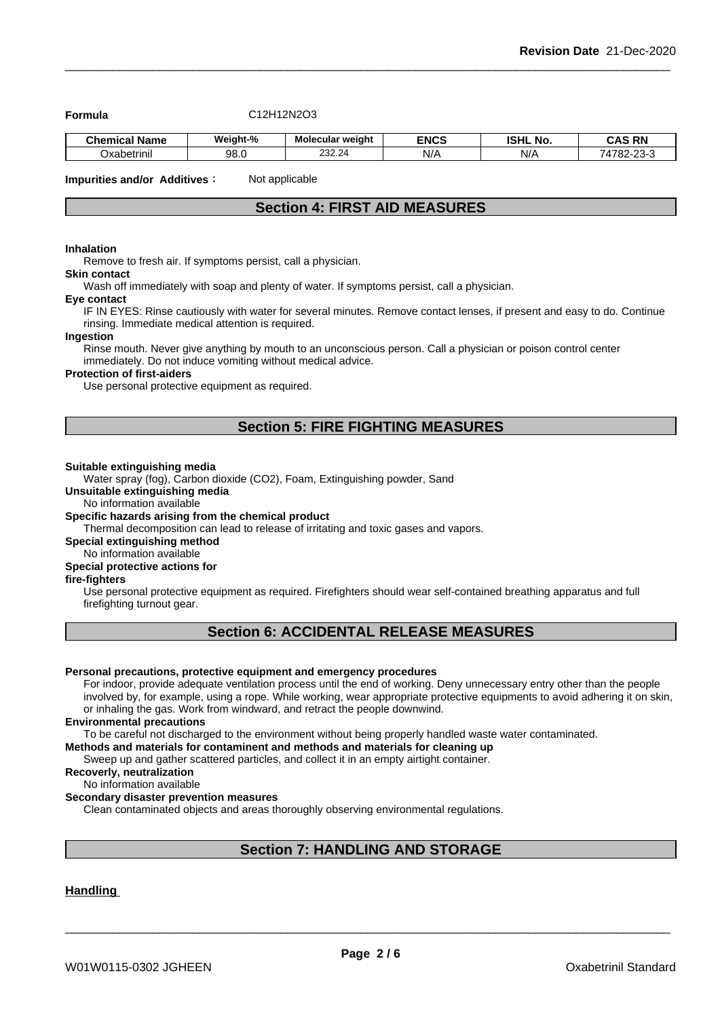**Formula** C12H12N2O3

| - -<br><b>Chemical Name</b> | Weiaht-%          | Molecular weight   | <b>ENCS</b> | . .<br>ונים<br>. NO<br>בוחפו | <b>CAS RN</b><br>-nr<br>unc                      |
|-----------------------------|-------------------|--------------------|-------------|------------------------------|--------------------------------------------------|
| $\cdot$ .<br>Oxabetrinil    | <b>QR</b><br>JU.U | 24<br>ה ה<br>202.2 | N/A         | N/A                          | 74700<br>$\sim$ $\sim$<br>Δ<br>~-<br>oz-<br>$-1$ |

**Impurities and/or Additives**: Not applicable

# **Section 4: FIRST AID MEASURES**

#### **Inhalation**

Remove to fresh air. If symptoms persist, call a physician.

#### **Skin contact**

Wash off immediately with soap and plenty of water. If symptoms persist, calla physician.

#### **Eye contact**

IF IN EYES: Rinse cautiously with water for several minutes. Remove contact lenses, if present and easy to do. Continue rinsing. Immediate medical attention is required.

#### **Ingestion**

Rinse mouth. Never give anything by mouth to an unconscious person. Call a physician or poison control center immediately. Do not induce vomiting without medical advice.

#### **Protection of first-aiders**

Use personal protective equipment as required.

# **Section 5: FIRE FIGHTING MEASURES**

#### **Suitable extinguishing media**

Water spray (fog), Carbon dioxide (CO2), Foam, Extinguishing powder, Sand

#### **Unsuitable extinguishing media**

# No information available

# **Specific hazards arising from the chemical product**

Thermal decomposition can lead to release of irritating and toxic gases and vapors.

#### **Special extinguishing method**

# No information available

# **Special protective actions for**

#### **fire-fighters**

Use personal protective equipment as required.Firefighters should wear self-contained breathing apparatus and full firefighting turnout gear.

# **Section 6: ACCIDENTAL RELEASE MEASURES**

#### **Personal precautions, protective equipment and emergency procedures**

For indoor, provide adequate ventilation process until the end of working. Deny unnecessary entry other than the people involved by, for example, using a rope. While working, wear appropriate protective equipments to avoid adhering it on skin, or inhaling the gas. Work from windward, and retract the people downwind.

#### **Environmental precautions**

To be careful not discharged to the environment without being properly handled waste water contaminated.

**Methods and materials for contaminent and methods and materials for cleaning up**

Sweep up and gather scattered particles, and collect it in an empty airtight container.

**Recoverly, neutralization** No information available

# **Secondary disaster prevention measures**

Clean contaminated objects and areas thoroughly observing environmental regulations.

# **Section 7: HANDLING AND STORAGE**

# **Handling**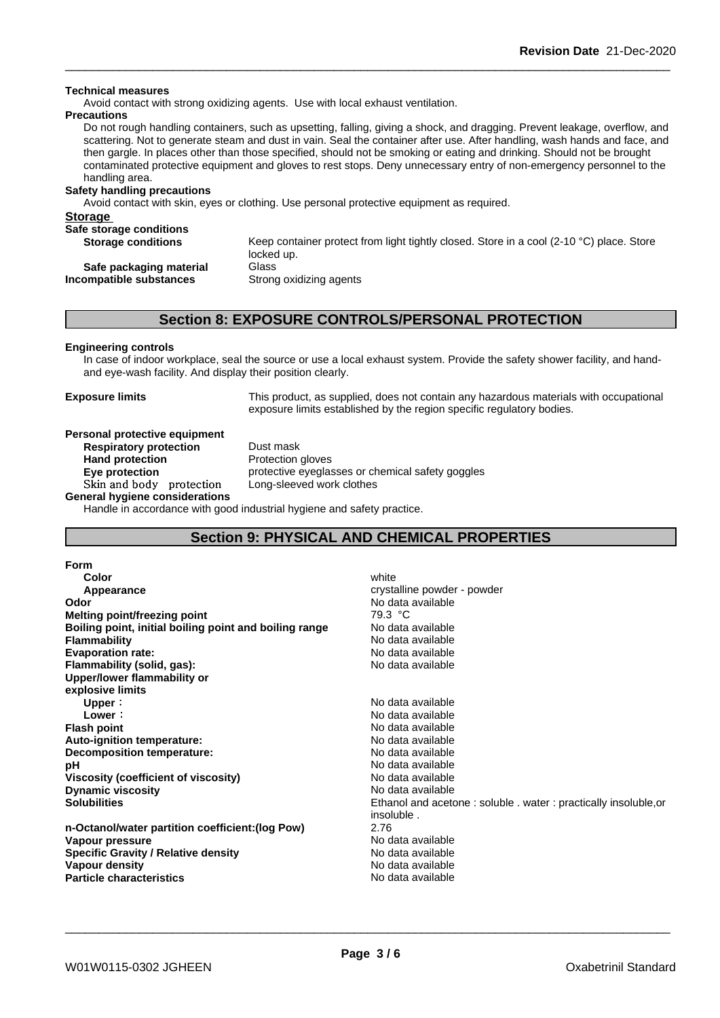#### **Technical measures**

Avoid contact with strong oxidizing agents. Use with local exhaust ventilation.

#### **Precautions**

Do not rough handling containers, such as upsetting, falling, giving a shock, and dragging. Prevent leakage, overflow, and scattering. Not to generate steam and dust in vain. Seal the container after use. After handling, wash hands and face, and then gargle. In places other than those specified, should not be smoking or eating and drinking. Should not be brought contaminated protective equipment and gloves to rest stops. Deny unnecessary entry of non-emergency personnel to the handling area.

#### **Safety handling precautions**

Avoid contact with skin, eyes or clothing. Use personal protective equipment as required.

#### **Storage**

| Safe storage conditions   |                                                                                          |
|---------------------------|------------------------------------------------------------------------------------------|
| <b>Storage conditions</b> | Keep container protect from light tightly closed. Store in a cool (2-10 °C) place. Store |
|                           | locked up.                                                                               |
| Safe packaging material   | Glass                                                                                    |
| Incompatible substances   | Strong oxidizing agents                                                                  |
|                           |                                                                                          |

# **Section 8: EXPOSURE CONTROLS/PERSONAL PROTECTION**

#### **Engineering controls**

In case of indoor workplace, seal the source or use a local exhaust system. Provide the safety shower facility, and handand eye-wash facility. And display their position clearly.

**Exposure limits** This product, as supplied, does not contain any hazardous materials with occupational exposure limits established by the region specific regulatory bodies.

#### **Personal protective equipment Respiratory protection** Dust mask

**Hand protection** Protection gloves **Eye protection Eye protective eyeglasses or chemical safety goggles Skinandbody protection** Long-sleeved work clothes

**General hygiene considerations** Handle in accordance with good industrial hygiene and safety practice.

# **Section 9: PHYSICAL AND CHEMICAL PROPERTIES**

| <b>Form</b>                                            |                                                                 |
|--------------------------------------------------------|-----------------------------------------------------------------|
| Color                                                  | white                                                           |
| Appearance                                             | crystalline powder - powder                                     |
| Odor                                                   | No data available                                               |
| Melting point/freezing point                           | 79.3 °C                                                         |
| Boiling point, initial boiling point and boiling range | No data available                                               |
| <b>Flammability</b>                                    | No data available                                               |
| <b>Evaporation rate:</b>                               | No data available                                               |
| Flammability (solid, gas):                             | No data available                                               |
| Upper/lower flammability or                            |                                                                 |
| explosive limits                                       |                                                                 |
| Upper:                                                 | No data available                                               |
| Lower:                                                 | No data available                                               |
| <b>Flash point</b>                                     | No data available                                               |
| Auto-ignition temperature:                             | No data available                                               |
| Decomposition temperature:                             | No data available                                               |
| рH                                                     | No data available                                               |
| Viscosity (coefficient of viscosity)                   | No data available                                               |
| <b>Dynamic viscosity</b>                               | No data available                                               |
| <b>Solubilities</b>                                    | Ethanol and acetone: soluble . water: practically insoluble, or |
|                                                        | insoluble.                                                      |
| n-Octanol/water partition coefficient: (log Pow)       | 2.76                                                            |
| Vapour pressure                                        | No data available                                               |
| <b>Specific Gravity / Relative density</b>             | No data available                                               |
| Vapour density                                         | No data available                                               |
| <b>Particle characteristics</b>                        | No data available                                               |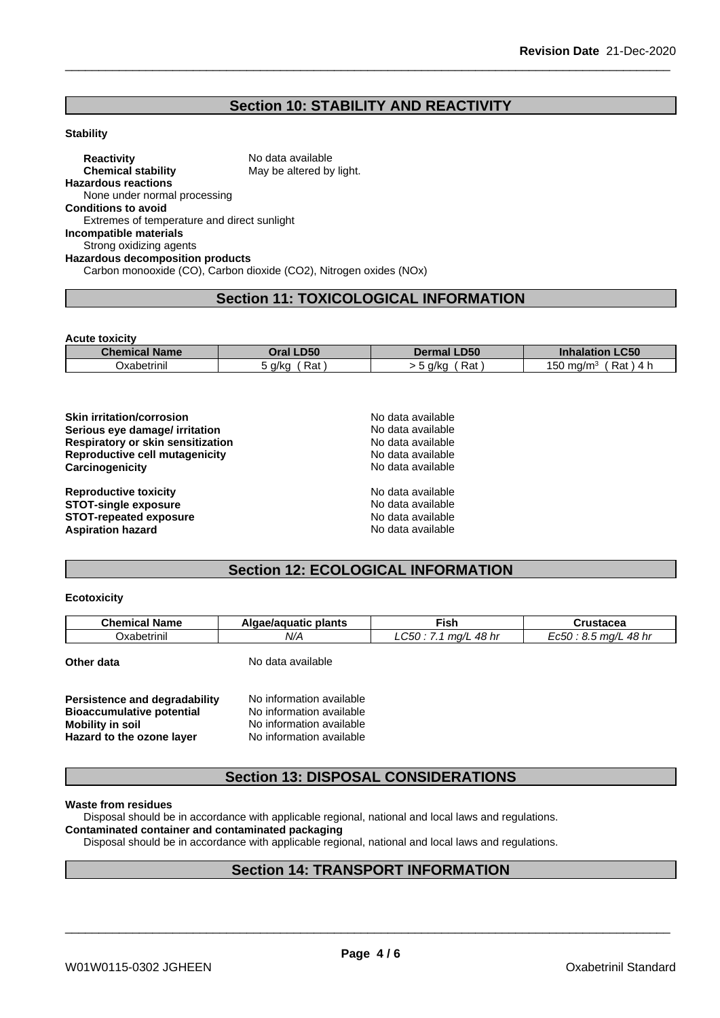# **Section 10: STABILITY AND REACTIVITY**

#### **Stability**

**Reactivity** No data available<br> **Chemical stability** May be altered by May be altered by light. **Hazardous reactions** None under normal processing **Conditions to avoid** Extremes of temperature and direct sunlight **Incompatible materials** Strong oxidizing agents **Hazardous decomposition products** Carbon monooxide (CO), Carbon dioxide (CO2), Nitrogen oxides (NOx)

# **Section 11: TOXICOLOGICAL INFORMATION**

**Acute toxicity**

| Chemical<br><b>Name</b> | <b>D50</b><br>Oral | <b>D50</b>  | <b>CEO</b><br>IOT<br>-cau      |
|-------------------------|--------------------|-------------|--------------------------------|
| $\sim$<br>Oxabetrinil   | -<br>Rat<br>o a/ka | Rat<br>a/ka | Rat<br>ma/m <sup>3</sup><br>5U |

| <b>Skin irritation/corrosion</b>  | No data available |  |
|-----------------------------------|-------------------|--|
| Serious eye damage/ irritation    | No data available |  |
| Respiratory or skin sensitization | No data available |  |
| Reproductive cell mutagenicity    | No data available |  |
| Carcinogenicity                   | No data available |  |
| <b>Reproductive toxicity</b>      | No data available |  |
| <b>STOT-single exposure</b>       | No data available |  |
| <b>STOT-repeated exposure</b>     | No data available |  |
| <b>Aspiration hazard</b>          | No data available |  |

# **Section 12: ECOLOGICAL INFORMATION**

#### **Ecotoxicity**

| .<br>- -<br>$\sim$ $\sim$<br>$ \sim$ | <b>Chemical Name</b> | plants<br>aae/aquatic | ™ish                       | ructooos<br>islauca     |
|--------------------------------------|----------------------|-----------------------|----------------------------|-------------------------|
|                                      | Oxabetrinil          | N/A                   | `48 hi<br>ma/L<br>אי<br>ww | . 48 hr<br>ma/L<br>=C5C |

**Other data** No data available

| Persistence and degradability    | No information available |
|----------------------------------|--------------------------|
| <b>Bioaccumulative potential</b> | No information available |
| Mobility in soil                 | No information available |
| Hazard to the ozone layer        | No information available |

# **Section 13: DISPOSAL CONSIDERATIONS**

**Waste from residues**

Disposal should be in accordance with applicable regional, national and local laws and regulations.

### **Contaminated container and contaminated packaging**

Disposal should be in accordance with applicable regional, national and local laws and regulations.

# **Section 14: TRANSPORT INFORMATION**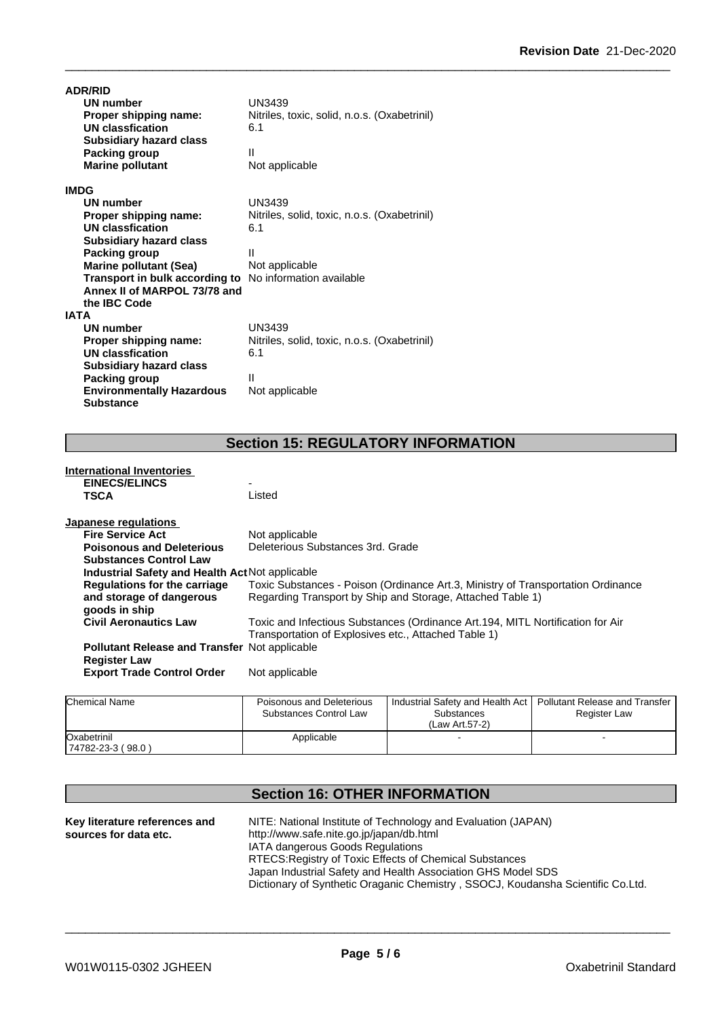| <b>ADR/RID</b>                   |                                              |
|----------------------------------|----------------------------------------------|
| <b>UN number</b>                 | UN3439                                       |
| Proper shipping name:            | Nitriles, toxic, solid, n.o.s. (Oxabetrinil) |
| <b>UN classfication</b>          | 6.1                                          |
| <b>Subsidiary hazard class</b>   |                                              |
| Packing group                    | Ш                                            |
| <b>Marine pollutant</b>          | Not applicable                               |
| <b>IMDG</b>                      |                                              |
| UN number                        | UN3439                                       |
| Proper shipping name:            | Nitriles, solid, toxic, n.o.s. (Oxabetrinil) |
| UN classfication                 | 6.1                                          |
| <b>Subsidiary hazard class</b>   |                                              |
| Packing group                    | Ш                                            |
| <b>Marine pollutant (Sea)</b>    | Not applicable                               |
| Transport in bulk according to   | No information available                     |
| Annex II of MARPOL 73/78 and     |                                              |
| the IBC Code                     |                                              |
| <b>IATA</b>                      |                                              |
| <b>UN number</b>                 | UN3439                                       |
| Proper shipping name:            | Nitriles, solid, toxic, n.o.s. (Oxabetrinil) |
| <b>UN classfication</b>          | 6.1                                          |
| <b>Subsidiary hazard class</b>   |                                              |
| Packing group                    | Ш                                            |
| <b>Environmentally Hazardous</b> | Not applicable                               |
| <b>Substance</b>                 |                                              |

# **Section 15: REGULATORY INFORMATION**

| International Inventories                            |                                                                                  |
|------------------------------------------------------|----------------------------------------------------------------------------------|
| <b>EINECS/ELINCS</b>                                 | $\overline{\phantom{0}}$                                                         |
| <b>TSCA</b>                                          | Listed                                                                           |
| Japanese regulations                                 |                                                                                  |
| <b>Fire Service Act</b>                              | Not applicable                                                                   |
| <b>Poisonous and Deleterious</b>                     | Deleterious Substances 3rd. Grade                                                |
| <b>Substances Control Law</b>                        |                                                                                  |
| Industrial Safety and Health Act Not applicable      |                                                                                  |
| Regulations for the carriage                         | Toxic Substances - Poison (Ordinance Art.3, Ministry of Transportation Ordinance |
| and storage of dangerous<br>goods in ship            | Regarding Transport by Ship and Storage, Attached Table 1)                       |
| <b>Civil Aeronautics Law</b>                         | Toxic and Infectious Substances (Ordinance Art.194, MITL Nortification for Air   |
|                                                      | Transportation of Explosives etc., Attached Table 1)                             |
| <b>Pollutant Release and Transfer Not applicable</b> |                                                                                  |
| <b>Register Law</b>                                  |                                                                                  |
| <b>Export Trade Control Order</b>                    | Not applicable                                                                   |
|                                                      |                                                                                  |
|                                                      |                                                                                  |

| <b>Chemical Name</b>             | Poisonous and Deleterious<br>Substances Control Law | Industrial Safety and Health Act  <br>Substances<br>(Law Art.57-2) | Pollutant Release and Transfer<br>Register Law |  |
|----------------------------------|-----------------------------------------------------|--------------------------------------------------------------------|------------------------------------------------|--|
| Oxabetrinil<br>74782-23-3 (98.0) | Applicable                                          |                                                                    |                                                |  |

# **Section 16: OTHER INFORMATION**

| Key literature references and | NITE: National Institute of Technology and Evaluation (JAPAN)                   |
|-------------------------------|---------------------------------------------------------------------------------|
| sources for data etc.         | http://www.safe.nite.go.jp/japan/db.html                                        |
|                               | IATA dangerous Goods Regulations                                                |
|                               | RTECS: Registry of Toxic Effects of Chemical Substances                         |
|                               | Japan Industrial Safety and Health Association GHS Model SDS                    |
|                               | Dictionary of Synthetic Oraganic Chemistry, SSOCJ, Koudansha Scientific Co.Ltd. |